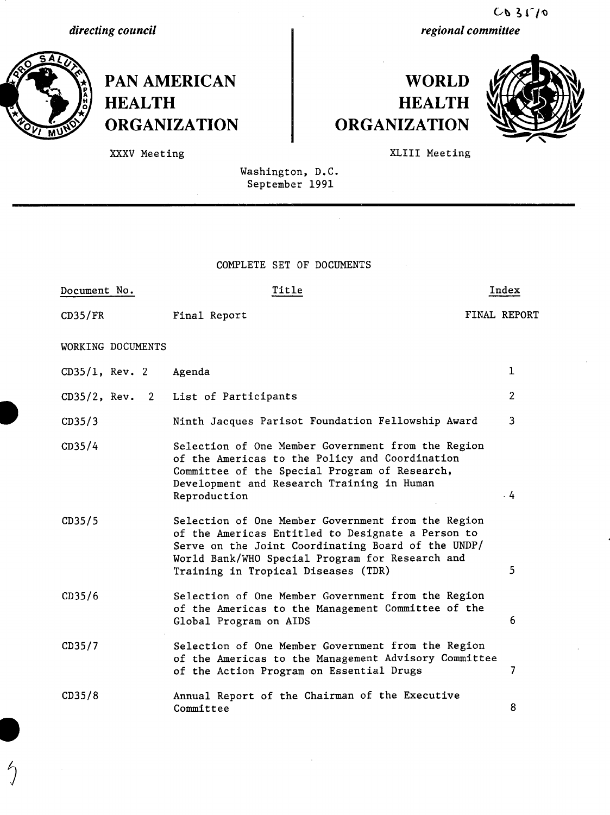*directing council*



 $\mathcal{L}$ 

**PAN AMERICAN HEALTH ORGANIZATION**

## **WORLD HEALTH ORGANIZATION**



XLIII Meeting

XXXV Meeting

Washington, D.C. September 1991

\_ \_ \_ \_ \_ C\_\_\_\_ \_\_ \_ \_\_\_\_

COMPLETE SET OF DOCUMENTS

| Document No.             | Title                                                                                                                                                                                                                                                   | Index               |  |
|--------------------------|---------------------------------------------------------------------------------------------------------------------------------------------------------------------------------------------------------------------------------------------------------|---------------------|--|
| CD35/FR                  | Final Report                                                                                                                                                                                                                                            | <b>FINAL REPORT</b> |  |
| WORKING DOCUMENTS        |                                                                                                                                                                                                                                                         |                     |  |
| $CD35/1$ , Rev. 2 Agenda |                                                                                                                                                                                                                                                         | 1                   |  |
| $CD35/2$ , Rev. 2        | List of Participants                                                                                                                                                                                                                                    | $\overline{2}$      |  |
| CD35/3                   | Ninth Jacques Parisot Foundation Fellowship Award                                                                                                                                                                                                       | 3                   |  |
| CD35/4                   | Selection of One Member Government from the Region<br>of the Americas to the Policy and Coordination<br>Committee of the Special Program of Research,<br>Development and Research Training in Human<br>Reproduction                                     | 4                   |  |
| CD35/5                   | Selection of One Member Government from the Region<br>of the Americas Entitled to Designate a Person to<br>Serve on the Joint Coordinating Board of the UNDP/<br>World Bank/WHO Special Program for Research and<br>Training in Tropical Diseases (TDR) | 5                   |  |
| CD35/6                   | Selection of One Member Government from the Region<br>of the Americas to the Management Committee of the<br>Global Program on AIDS                                                                                                                      | 6                   |  |
| CD35/7                   | Selection of One Member Government from the Region<br>of the Americas to the Management Advisory Committee<br>of the Action Program on Essential Drugs                                                                                                  | 7                   |  |
| CD35/8                   | Annual Report of the Chairman of the Executive<br>Committee                                                                                                                                                                                             | 8                   |  |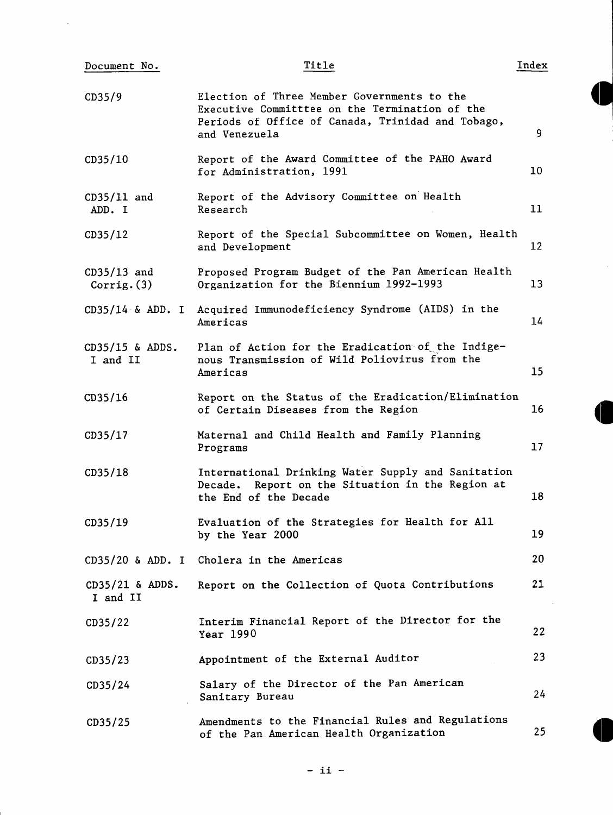| Document No.                  | Title                                                                                                                                                               | Index             |
|-------------------------------|---------------------------------------------------------------------------------------------------------------------------------------------------------------------|-------------------|
| CD35/9                        | Election of Three Member Governments to the<br>Executive Committtee on the Termination of the<br>Periods of Office of Canada, Trinidad and Tobago,<br>and Venezuela | 9                 |
| CD35/10                       | Report of the Award Committee of the PAHO Award<br>for Administration, 1991                                                                                         | 10                |
| $CD35/11$ and<br>ADD. I       | Report of the Advisory Committee on Health<br>Research                                                                                                              | 11                |
| CD35/12                       | Report of the Special Subcommittee on Women, Health<br>and Development                                                                                              | $12 \overline{ }$ |
| $CD35/13$ and<br>Corrig. (3)  | Proposed Program Budget of the Pan American Health<br>Organization for the Biennium 1992-1993                                                                       | 13 <sup>°</sup>   |
| $CD35/14 - \& ADD. I$         | Acquired Immunodeficiency Syndrome (AIDS) in the<br>Americas                                                                                                        | 14                |
| $CD35/15$ & ADDS.<br>I and II | Plan of Action for the Eradication of the Indige-<br>nous Transmission of Wild Poliovirus from the<br>Americas                                                      | 15                |
| CD35/16                       | Report on the Status of the Eradication/Elimination<br>of Certain Diseases from the Region                                                                          | 16                |
| CD35/17                       | Maternal and Child Health and Family Planning<br>Programs                                                                                                           | 17                |
| CD35/18                       | International Drinking Water Supply and Sanitation<br>Report on the Situation in the Region at<br>Decade.<br>the End of the Decade                                  | 18                |
| CD35/19                       | Evaluation of the Strategies for Health for All<br>by the Year 2000                                                                                                 | 19                |
| $CD35/20$ & ADD. I            | Cholera in the Americas                                                                                                                                             | 20                |
| $CD35/21$ & ADDS.<br>I and II | Report on the Collection of Quota Contributions                                                                                                                     | 21                |
| CD35/22                       | Interim Financial Report of the Director for the<br>Year 1990                                                                                                       | 22                |
| CD35/23                       | Appointment of the External Auditor                                                                                                                                 | 23                |
| CD35/24                       | Salary of the Director of the Pan American<br>Sanitary Bureau                                                                                                       | 24                |
| CD35/25                       | Amendments to the Financial Rules and Regulations<br>of the Pan American Health Organization                                                                        | 25                |
|                               |                                                                                                                                                                     |                   |

 $\mathcal{A}_\mathrm{c}$ 

- ii -